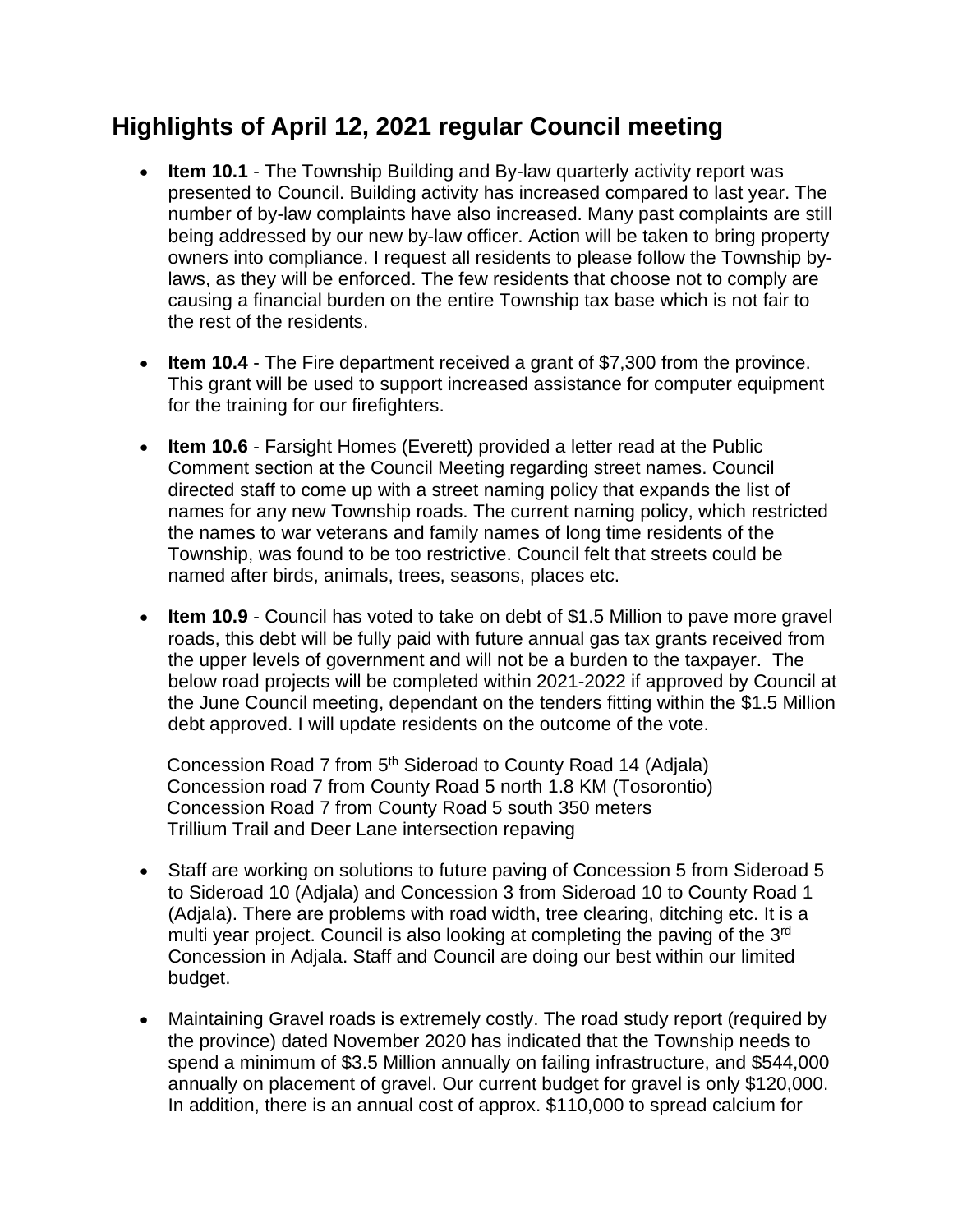## **Highlights of April 12, 2021 regular Council meeting**

- **Item 10.1** The Township Building and By-law quarterly activity report was presented to Council. Building activity has increased compared to last year. The number of by-law complaints have also increased. Many past complaints are still being addressed by our new by-law officer. Action will be taken to bring property owners into compliance. I request all residents to please follow the Township bylaws, as they will be enforced. The few residents that choose not to comply are causing a financial burden on the entire Township tax base which is not fair to the rest of the residents.
- **Item 10.4** The Fire department received a grant of \$7,300 from the province. This grant will be used to support increased assistance for computer equipment for the training for our firefighters.
- **Item 10.6** Farsight Homes (Everett) provided a letter read at the Public Comment section at the Council Meeting regarding street names. Council directed staff to come up with a street naming policy that expands the list of names for any new Township roads. The current naming policy, which restricted the names to war veterans and family names of long time residents of the Township, was found to be too restrictive. Council felt that streets could be named after birds, animals, trees, seasons, places etc.
- **Item 10.9** Council has voted to take on debt of \$1.5 Million to pave more gravel roads, this debt will be fully paid with future annual gas tax grants received from the upper levels of government and will not be a burden to the taxpayer. The below road projects will be completed within 2021-2022 if approved by Council at the June Council meeting, dependant on the tenders fitting within the \$1.5 Million debt approved. I will update residents on the outcome of the vote.

Concession Road 7 from 5<sup>th</sup> Sideroad to County Road 14 (Adjala) Concession road 7 from County Road 5 north 1.8 KM (Tosorontio) Concession Road 7 from County Road 5 south 350 meters Trillium Trail and Deer Lane intersection repaving

- Staff are working on solutions to future paving of Concession 5 from Sideroad 5 to Sideroad 10 (Adjala) and Concession 3 from Sideroad 10 to County Road 1 (Adjala). There are problems with road width, tree clearing, ditching etc. It is a multi year project. Council is also looking at completing the paving of the 3<sup>rd</sup> Concession in Adjala. Staff and Council are doing our best within our limited budget.
- Maintaining Gravel roads is extremely costly. The road study report (required by the province) dated November 2020 has indicated that the Township needs to spend a minimum of \$3.5 Million annually on failing infrastructure, and \$544,000 annually on placement of gravel. Our current budget for gravel is only \$120,000. In addition, there is an annual cost of approx. \$110,000 to spread calcium for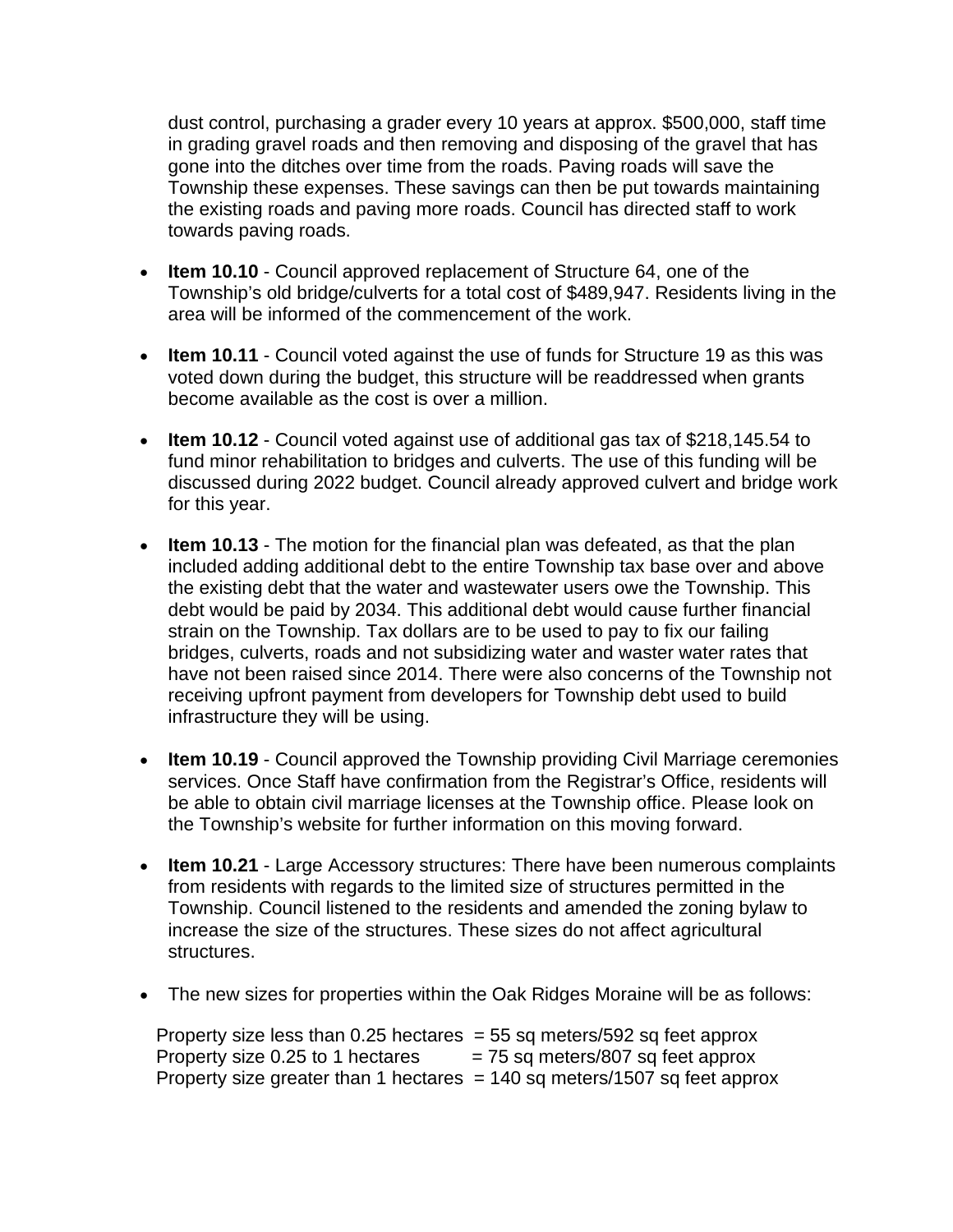dust control, purchasing a grader every 10 years at approx. \$500,000, staff time in grading gravel roads and then removing and disposing of the gravel that has gone into the ditches over time from the roads. Paving roads will save the Township these expenses. These savings can then be put towards maintaining the existing roads and paving more roads. Council has directed staff to work towards paving roads.

- **Item 10.10** Council approved replacement of Structure 64, one of the Township's old bridge/culverts for a total cost of \$489,947. Residents living in the area will be informed of the commencement of the work.
- **Item 10.11** Council voted against the use of funds for Structure 19 as this was voted down during the budget, this structure will be readdressed when grants become available as the cost is over a million.
- **Item 10.12** Council voted against use of additional gas tax of \$218,145.54 to fund minor rehabilitation to bridges and culverts. The use of this funding will be discussed during 2022 budget. Council already approved culvert and bridge work for this year.
- **Item 10.13** The motion for the financial plan was defeated, as that the plan included adding additional debt to the entire Township tax base over and above the existing debt that the water and wastewater users owe the Township. This debt would be paid by 2034. This additional debt would cause further financial strain on the Township. Tax dollars are to be used to pay to fix our failing bridges, culverts, roads and not subsidizing water and waster water rates that have not been raised since 2014. There were also concerns of the Township not receiving upfront payment from developers for Township debt used to build infrastructure they will be using.
- **Item 10.19**  Council approved the Township providing Civil Marriage ceremonies services. Once Staff have confirmation from the Registrar's Office, residents will be able to obtain civil marriage licenses at the Township office. Please look on the Township's website for further information on this moving forward.
- **Item 10.21** Large Accessory structures: There have been numerous complaints from residents with regards to the limited size of structures permitted in the Township. Council listened to the residents and amended the zoning bylaw to increase the size of the structures. These sizes do not affect agricultural structures.
- The new sizes for properties within the Oak Ridges Moraine will be as follows:

Property size less than  $0.25$  hectares = 55 sq meters/592 sq feet approx Property size 0.25 to 1 hectares  $= 75$  sq meters/807 sq feet approx Property size greater than 1 hectares  $= 140$  sq meters/1507 sq feet approx